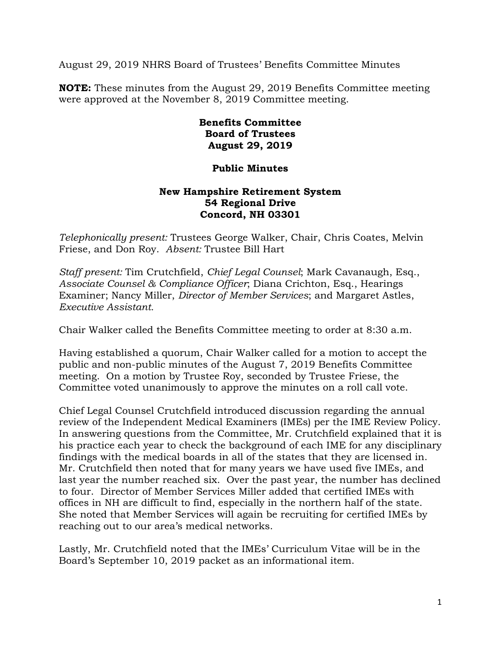August 29, 2019 NHRS Board of Trustees' Benefits Committee Minutes

**NOTE:** These minutes from the August 29, 2019 Benefits Committee meeting were approved at the November 8, 2019 Committee meeting.

## **Benefits Committee Board of Trustees August 29, 2019**

## **Public Minutes**

## **New Hampshire Retirement System 54 Regional Drive Concord, NH 03301**

*Telephonically present:* Trustees George Walker, Chair, Chris Coates, Melvin Friese, and Don Roy. *Absent:* Trustee Bill Hart

*Staff present:* Tim Crutchfield, *Chief Legal Counsel*; Mark Cavanaugh, Esq., *Associate Counsel & Compliance Officer*; Diana Crichton, Esq., Hearings Examiner; Nancy Miller, *Director of Member Services*; and Margaret Astles, *Executive Assistant.* 

Chair Walker called the Benefits Committee meeting to order at 8:30 a.m.

Having established a quorum, Chair Walker called for a motion to accept the public and non-public minutes of the August 7, 2019 Benefits Committee meeting. On a motion by Trustee Roy, seconded by Trustee Friese, the Committee voted unanimously to approve the minutes on a roll call vote.

Chief Legal Counsel Crutchfield introduced discussion regarding the annual review of the Independent Medical Examiners (IMEs) per the IME Review Policy. In answering questions from the Committee, Mr. Crutchfield explained that it is his practice each year to check the background of each IME for any disciplinary findings with the medical boards in all of the states that they are licensed in. Mr. Crutchfield then noted that for many years we have used five IMEs, and last year the number reached six. Over the past year, the number has declined to four. Director of Member Services Miller added that certified IMEs with offices in NH are difficult to find, especially in the northern half of the state. She noted that Member Services will again be recruiting for certified IMEs by reaching out to our area's medical networks.

Lastly, Mr. Crutchfield noted that the IMEs' Curriculum Vitae will be in the Board's September 10, 2019 packet as an informational item.